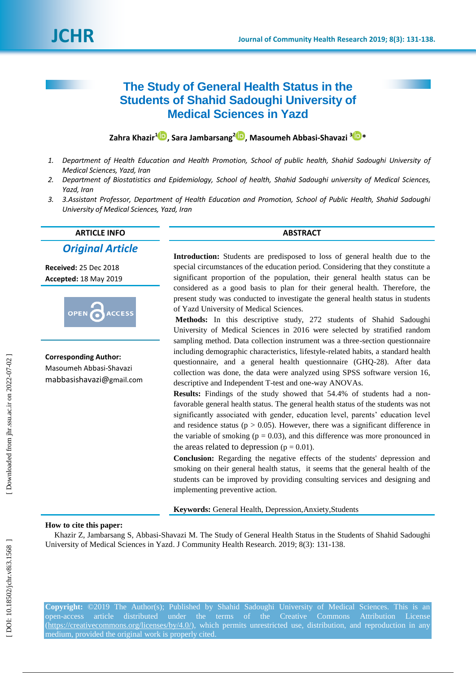# **The Study of General Health Status in the Students of Shahid Sadoughi University of Medical Sciences in Yazd**

**Zahra Khazir [1](https://orcid.org/0000-0001-6066-5037) , Sara Jambarsang 2 , Masoumeh Abbasi -Shavazi 3 \***

- *1 . Department of Health Education and Health Promotion, School of public health, Shahid Sadoughi University of Medical Sciences, Yazd, Iran*
- *2 . Department of Biostatistics and Epidemiology, School of health, Shahid Sadoughi university of Medical Sciences, Yazd, Iran*
- *3 . 3.Assistant Professor, Department of Health Education and Promotion, School of Public Health, Shahid Sadoughi University of Medical Sciences, Yazd, Iran*

## **ARTICLE INFO ABSTRACT**

## *Original Article*

**Received:** 25 Dec 2018 **Accepted:** 18 May 201 9



**Corresponding Author:** Masoumeh Abbasi -Shavazi mabbasishavazi@gmail.com

**Introduction:** Students are predisposed to loss of general health due to the special circumstances of the education period. Considering that they constitute a significant proportion of the population, their general health status can be considered as a good basis to plan for their general health. Therefore, the present study was conducted to investigate the general health status in students of Yazd University of Medical Sciences.

**Methods:** In this descriptive study, 272 students of Shahid Sadoughi University of Medical Sciences in 2016 were selected by stratified random sampling method. Data collection instrument was a three -section questionnaire including demographic characteristics, lifestyle -related habits, a standard health questionnaire, and a general health questionnaire (GHQ -28 ). After data collection was done, the data were analyzed using SPSS software version 16, descriptive and Independent T -test and one -way ANOVAs.

**Results:** Findings of the study showed that 54.4% of students had a non favorable general health status. The general health status of the students was not significantly associated with gender, education level, parents' education level and residence status ( $p > 0.05$ ). However, there was a significant difference in the variable of smoking ( $p = 0.03$ ), and this difference was more pronounced in the areas related to depression ( $p = 0.01$ ).

**Conclusion:** Regarding the negative effects of the students' depression and smoking on their general health status, it seems that the general health of the students can be improved by providing consulting services and designing and implementing preventive action.

**Keywords:** General Health, Depression,Anxiety,Students

## **How to cite this paper:**

Khazir Z, Jambarsang S, Abbasi-Shavazi M. The Study of General Health Status in the Students of Shahid Sadoughi University of Medical Sciences in Yazd. J Community Health Research. 2019; 8(3): 131-138.

**Copyright:** ©2019 The Author(s); Published by Shahid Sadoughi University of Medical Sciences. This is an open-access article distributed under the terms of the Creative Commons Attribution License (https://creativecommons.org/licenses/by/4.0/), which permits unrestricted use, distribution, and reproduction in any medium, provided the original work is properly cited.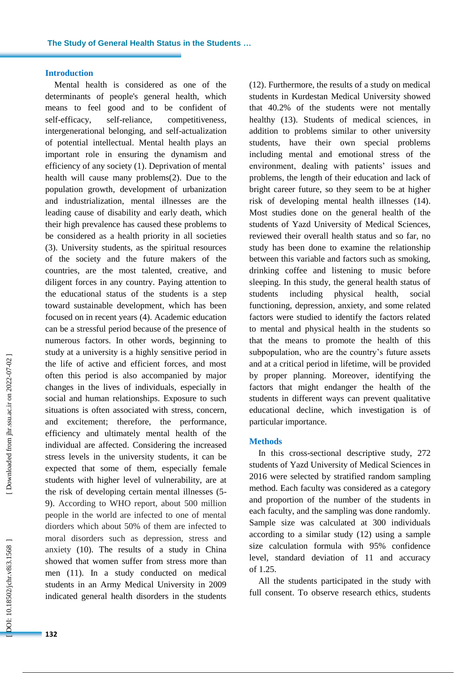## **Introduction**

Mental health is considered as one of the determinants of people's general health, which means to feel good and to be confident of self-efficacy, self-reliance, competitiveness, intergenerational belonging, and self -actualization of potential intellectual. Mental health plays an important role in ensuring the dynamism and efficiency of any society (1). Deprivation of mental health will cause many problems(2). Due to the population growth, development of urbanization and industrialization, mental illnesses are the leading cause of disability and early death, which their high prevalence has caused these problems to be considered as a health priority in all societies (3). University students, as the spiritual resources of the society and the future makers of the countries, are the most talented, creative, and diligent forces in any country. Paying attention to the educational status of the students is a step toward sustainable development, which has been focused on in recent years (4). Academic education can be a stressful period because of the presence of numerous factors. In other words, beginning to study at a university is a highly sensitive period in the life of active and efficient forces, and most often this period is also accompanied by major changes in the lives of individuals, especially in social and human relationships. Exposure to such situations is often associated with stress, concern, and excitement; therefore, the performance , efficiency and ultimately mental health of the individual are affected. Considering the increased stress levels in the university students, it can be expected that some of them, especially female students with higher level of vulnerability, are at the risk of developing certain mental illnesses (5 - 9). According to WHO report, about 500 million people in the world are infected to one of mental diorders which about 50% of them are infected to moral disorders such as depression, stress and anxiety (1 0). The results of a study in China showed that women suffer from stress more than men (1 1). In a study conducted on medical students in an Army Medical University in 2009 indicated general health disorders in the students

(1 2). Furthermore, the results of a study on medical students in Kurdestan Medical University showed that 40.2% of the students were not mentally healthy (1 3). Students of medical sciences, in addition to problems similar to other university students, have their own special problems including mental and emotional stress of the environment, dealing with patients' issues and problems, the length of their education and lack of bright career future, so they seem to be at higher risk of developing mental health illnesses ( 1 4 ) . Most studies done on the general health of the students of Yazd University of Medical Sciences, reviewed their overall health status and so far, no study has bee n done to examine the relationship between this variable and factors such as smoking, drinking coffee and listening to music before sleeping. In this study, the general health status of students including physical health, social functioning, depression , anxiety, and some related factors were studied to identify the factors related to mental and physical health in the students so that the means to promote the health of this subpopulation, who are the country's future assets and at a critical period in lifetime, will be provided by proper planning. Moreover, identifying the factors that might endanger the health of the students in different ways can prevent qualitative educational decline, which investigation is of particular importance.

## **Methods**

In this cross -sectional descriptive study, 272 students of Yazd University of Medical Sciences in 2016 were selected by stratified random sampling method. Each faculty was considered as a category and proportion of the number of the students in each faculty , and the sampling was done randomly. Sample size was calculated at 300 individuals according to a similar study ( 1 2) using a sample size calculation formula with 95% confidence level, standard deviation of 11 and accuracy of 1.25.

All the students participated in the study with full consent . To observe research ethics, students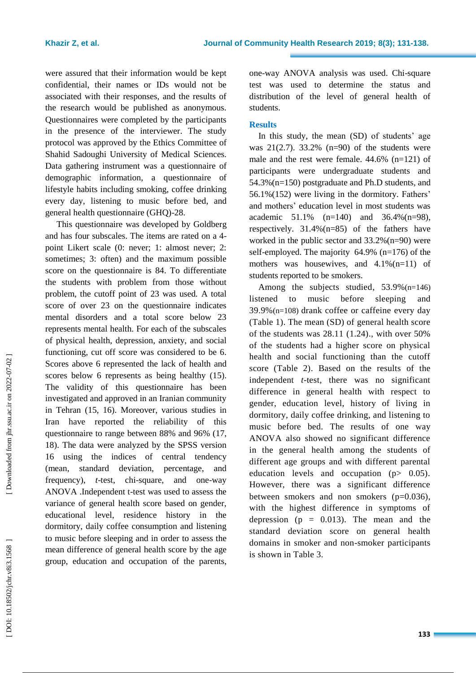were assured that their information would be kept confidential, their names or IDs would not be associated with their responses, and the results of the research would be published as anonymous . Questionnaires were completed by the participants in the presence of the interviewer. The study protocol was approved by the Ethics Committee of Shahid Sadoughi University of Medical Sciences. Data gathering instrument was a questionnaire of demographic information, a questionnaire of lifestyle habits including smoking, coffee drinking every day, listening to music before bed , and general health questionnaire (GHQ) -28.

This questionnaire was develo ped by Goldberg and has four subscale s. The items are rated on a 4 point Likert scale (0: never; 1: almost never; 2: sometimes; 3: often) and the maximum possible score on the questionnaire is 84. To differentiate the students with problem from those without problem, the cutoff point of 23 was used. A total score of over 23 on the questionnaire indicates mental disorders and a total score below 23 represents mental health. For each of the subscales of physical health, depression, anxiety, and social functioning, cut off score was considered to be 6. Scores above 6 represented the lack of health and scores below 6 represents as being healthy  $(15)$ . The validity of this questionnaire has been investigated and approved in an Iranian community in Tehran ( 1 5, 1 6). Moreover, various studies in Iran have reported the reliability of this questionnaire to range between 8 8% and 9 6 % (1 7, 1 8 ). The data were analyzed by the SPSS version 16 using the indices of central tendency (mean, standard deviation, percentage, and frequency), *t*-test, chi-square, and one-way ANOVA .Independent t -test was used to assess the variance of general health score based on gender, educational level, residence history in the dormitory, daily coffee consumption and listening to music before sleeping and in order to assess the mean difference of general health score by the age group, education and occupation of the parents,

one -way ANOVA analysis was used. Chi -square test was used to determine the status and distribution of the level of general health of students .

## **Result s**

In this study, the mean (SD ) of students' age was  $21(2.7)$ . 33.2% (n=90) of the students were male and the rest were female. 44.6% (n=121 ) of participants were undergraduate students and 54.3 %(n=150 ) postgraduate and Ph.D students, and 56.1 % (152 ) were living in the dormitory. Fathers' and mothers' education level in most students was academic  $51.1\%$  (n=140) and  $36.4\%$ (n=98), respectively. 31. 4 % (n=85 ) of the fathers have worked in the public sector and 33.2% (n=90) were self-employed. The majority 64. 9% (n=176 ) of the mothers was housewives, and  $4.1\%(n=11)$  of students reported to be smokers .

Among the subjects studied, 53.9% (n=146) listened to music before sleeping and 39. 9 % (n=108 ) drank coffee or caffeine every day (Table 1) . The mean (SD) of general health score of the students was 28.11 (1.24)., with over 50% of the students had a higher score on physical health and social functioning than the cutoff score (Table 2). Based on the results of the independent *t* -test, there was no significant difference in general health with respect to gender, education level, history of living in dormitory, daily coffee drinking, and listening to music before bed. The results of one way ANOVA also showed no significant difference in the general health among the students of different age groups and with different parental education levels and occupation ( $p$   $>$  0.05). However, there was a significant difference between smokers and non smokers ( p=0.036), with the highest difference in symptoms of depression ( $p = 0.013$ ). The mean and the standard deviation score on general health domains in smoker and non -smoker participants is shown in Table 3.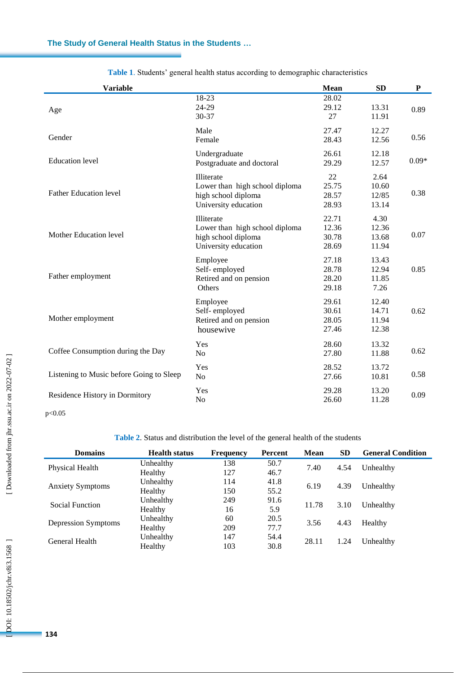| <b>Variable</b>                          |                                                                                             | Mean                             | <b>SD</b>                        | ${\bf P}$ |
|------------------------------------------|---------------------------------------------------------------------------------------------|----------------------------------|----------------------------------|-----------|
| Age                                      | 18-23<br>24-29<br>30-37                                                                     | 28.02<br>29.12<br>27             | 13.31<br>11.91                   | 0.89      |
| Gender                                   | Male<br>Female                                                                              | 27.47<br>28.43                   | 12.27<br>12.56                   | 0.56      |
| <b>Education</b> level                   | Undergraduate<br>Postgraduate and doctoral                                                  | 26.61<br>29.29                   | 12.18<br>12.57                   | $0.09*$   |
| <b>Father Education level</b>            | Illiterate<br>Lower than high school diploma<br>high school diploma<br>University education | 22<br>25.75<br>28.57<br>28.93    | 2.64<br>10.60<br>12/85<br>13.14  | 0.38      |
| <b>Mother Education level</b>            | Illiterate<br>Lower than high school diploma<br>high school diploma<br>University education | 22.71<br>12.36<br>30.78<br>28.69 | 4.30<br>12.36<br>13.68<br>11.94  | 0.07      |
| Father employment                        | Employee<br>Self-employed<br>Retired and on pension<br>Others                               | 27.18<br>28.78<br>28.20<br>29.18 | 13.43<br>12.94<br>11.85<br>7.26  | 0.85      |
| Mother employment                        | Employee<br>Self-employed<br>Retired and on pension<br>housewive                            | 29.61<br>30.61<br>28.05<br>27.46 | 12.40<br>14.71<br>11.94<br>12.38 | 0.62      |
| Coffee Consumption during the Day        | Yes<br>No                                                                                   | 28.60<br>27.80                   | 13.32<br>11.88                   | 0.62      |
| Listening to Music before Going to Sleep | Yes<br>N <sub>o</sub>                                                                       | 28.52<br>27.66                   | 13.72<br>10.81                   | 0.58      |
| Residence History in Dormitory           | Yes<br>N <sub>o</sub>                                                                       | 29.28<br>26.60                   | 13.20<br>11.28                   | 0.09      |
| p<0.05                                   |                                                                                             |                                  |                                  |           |

**Table 1** . Students' general health status according to demographic characteristics

**Table 2** . Status and distribution the level of the general health of the students

| <b>Domains</b>          | <b>Health status</b> | <b>Frequency</b> | Percent | <b>Mean</b> | <b>SD</b> | <b>General Condition</b> |  |
|-------------------------|----------------------|------------------|---------|-------------|-----------|--------------------------|--|
| Physical Health         | Unhealthy            | 138              | 50.7    |             | 4.54      | Unhealthy                |  |
|                         | Healthy              | 127              | 46.7    | 7.40        |           |                          |  |
| <b>Anxiety Symptoms</b> | Unhealthy            | 114              | 41.8    | 6.19        | 4.39      | Unhealthy                |  |
|                         | Healthy              | 150              | 55.2    |             |           |                          |  |
| Social Function         | Unhealthy            | 249              | 91.6    | 11.78       | 3.10      | Unhealthy                |  |
|                         | Healthy              | 16               | 5.9     |             |           |                          |  |
| Depression Symptoms     | Unhealthy            | 60               | 20.5    |             | 4.43      | Healthy                  |  |
|                         | Healthy              | 209              | 77.7    | 3.56        |           |                          |  |
| General Health          | Unhealthy            | 147              | 54.4    |             | 1.24      | Unhealthy                |  |
|                         | Healthy              | 103              | 30.8    | 28.11       |           |                          |  |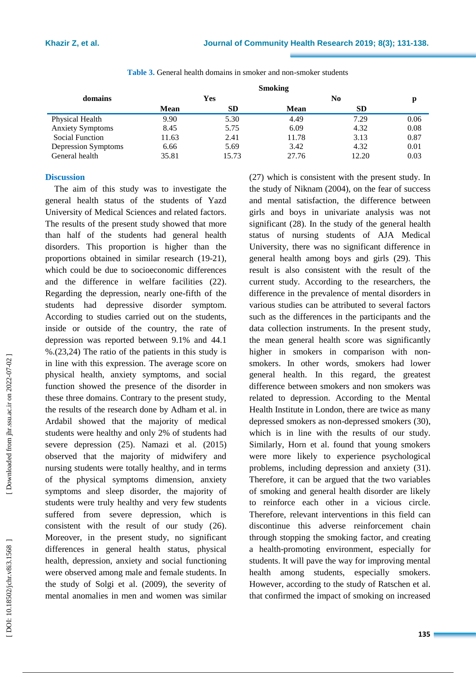|                         |             |       | <b>Smoking</b> |           |      |
|-------------------------|-------------|-------|----------------|-----------|------|
| domains                 | Yes         |       |                | р         |      |
|                         | <b>Mean</b> | SD.   | <b>Mean</b>    | <b>SD</b> |      |
| Physical Health         | 9.90        | 5.30  | 4.49           | 7.29      | 0.06 |
| <b>Anxiety Symptoms</b> | 8.45        | 5.75  | 6.09           | 4.32      | 0.08 |
| Social Function         | 11.63       | 2.41  | 11.78          | 3.13      | 0.87 |
| Depression Symptoms     | 6.66        | 5.69  | 3.42           | 4.32      | 0.01 |
| General health          | 35.81       | 15.73 | 27.76          | 12.20     | 0.03 |

**Table 3.** General health domains in smoker and non -smoker students

## **Discussion**

The aim of this study was to investigate the general health status of the students of Yazd University of Medical Sciences and related factors. The results of the present study showed that more than half of the students had general health disorders. This proportion is higher than the proportions obtained in similar research (19-21), which could be due to socioeconomic differences and the difference in welfare facilities (2 2). Regarding the depression, nearly one -fifth of the students had depressive disorder sympto m . According to studies carried out on the students, inside or outside of the country, the rate of depression was reported between 9.1% and 44.1 %.(23,24) The ratio of the patients in this study is in line with this expression. The average score on physical health, anxiety symptoms, and social function showed the presence of the disorder in these three domains. Contrary to the present study, the results of the research done by Adham et al. in Ardabil showed that the majority of medical students were healthy and only 2% of students had severe depression (2 5). N amazi et al. (201 5) observed that the majority of midwifery and nursing students were totally healthy, and in terms of the physical symptoms dimension, anxiety symptoms and sleep disorder, the majority of students were truly healthy and very few students suffered from severe depression, which is consistent with the result of our study ( 2 6). Moreover, in the present study, no significant differences in general health status, physical health, depression, anxiety and social functioning were observed among male and female students. In the study of Solgi et al. (2009), the severity of mental anomalies in men and women was similar

( 2 7) which is consistent with the present study . In the study of Niknam (2004) , on the fear of success and mental satisfaction, the difference between girls and boys in univariate analysis was not significant ( 2 8). In the study of the general health status of nursing students of AJA Medical University, there was no significant difference in general health among boys and girls (29). This result is also consistent with the result of the current study. According to the researchers, the difference in the prevalence of mental disorders in various studies can be attributed to several factors such as the differences in the participants and the data collection instruments. In the present study, the mean general health score was significantly higher in smokers in comparison with non smokers. In other words, smokers had lower general health. In this regard, the greatest difference between smokers and non smokers was related to depression. According to the Mental Health Institute in London, there are twice as many depressed smokers as non -depressed smokers ( 3 0), which is in line with the results of our study. Similarly, Horn et al. found that young smokers were more likely to experience psychological problems, including depression and anxiety (3 1). Therefore, it can be argued that the two variables of smoking and general health disorder are likely to reinforce each other in a vicious circle. Therefore, relevant interventions in this field can discontinue this adverse reinforcement chain through stopping the smoking factor, and creating a health -promoting environment, especially for students. It will pave the way for improving mental health among students, especially smokers. However, according to the study of Ratschen et al. that confirmed the impact of smoking on increased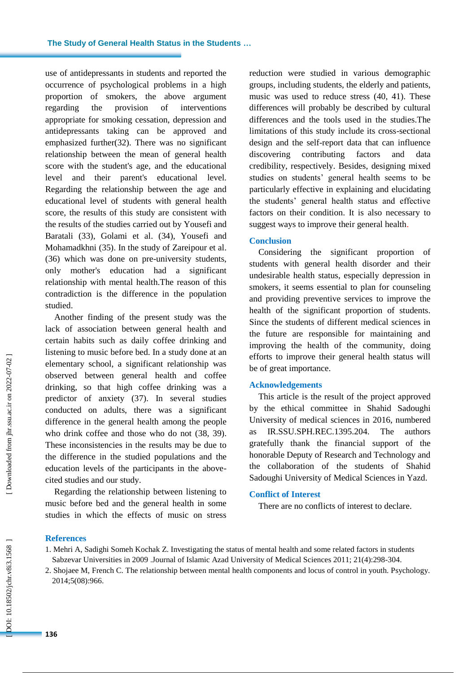use of antidepressants in students and reported the occurrence of psychological problems in a high proportion of smokers, the above argument regarding the provision of interventions appropriate for smoking cessation, depression and antidepressants taking can be approved and emphasized further(3 2). There was no significant relationship between the mean of general health score with the student's age, and the educational level and their parent's educational level. Regarding the relationship between the age and educational level of students with general health score, the results of this study are consistent with the results of the studies carried out by Yousefi and Baratali ( 3 3), Golami et al . ( 3 4), Yousefi and Mohamadkhni (35). In the study of Zareipour et al. (3 6 ) which was done on pre -university students, only mother's education had a significant relationship with mental health.The reason of this contradiction is the difference in the population studied.

Another finding of the present study was the lack of association between general health and certain habits such as daily coffee drinking and listening to music before bed. In a study done at an elementary school, a significant relationship was observed between general health and coffee drinking, so that high coffee drinking was a predictor of anxiety (3 7). In several studies conducted on adults, there was a significant difference in the general health among the people who drink coffee and those who do not ( 3 8, 39). These inconsistencies in the results may be due to the difference in the studied populations and the education levels of the participants in the above cited studies and our study.

Regarding the relationship between listening to music before bed and the general health in some studies in which the effects of music on stress reduction were studied in various demographic groups, including students, the elderly and patients, music was used to reduce stress ( 4 0, 4 1 ). These differences will probably be described by cultural differences and the tools used in the studies .The limitations of this study include its cross -sectional design and the self-report data that can influence discovering contributing factors and data credibility, respectively. Besides, designing mixed studies on students' general health seems to be particularly effective in explaining and elucidating the students' general health status and effective factors on their condition. It is also necessary to suggest ways to improve their general health .

## **Conclusion**

Considering the significant proportion of students with general health disorder and their undesirable health status, especially depression in smokers, it seems essential to plan for counseling and providing preventive services to improve the health of the significant proportion of students. Since the students of different medical sciences in the future are responsible for maintaining and improving the health of the community, doing efforts to improve their general health status will be of great importance.

## **Acknowledgements**

This article is the result of the project approved by the ethical committee in Shahid Sadoughi University of medical sciences in 2016, numbered as IR.SSU.SPH.REC.1395.204 . The authors gratefully thank the financial support of the honorable Deputy of Research and Technology and the collaboration of the students of Shahid Sadoughi University of Medical Sciences in Yazd.

#### **Conflict of Interest**

There are no conflicts of interest to declare.

#### **References**

1. Mehri A, Sadighi Someh Kochak Z. Investigating the status of mental health and some related factors in students Sabzevar Universities in 2009 .Journal of Islamic Azad University of Medical Sciences 2011; 21(4):298 -304.

<sup>2.</sup> Shojaee M, French C. The relationship between mental health components and locus of control in youth. Psychology. 2014;5(08):966 .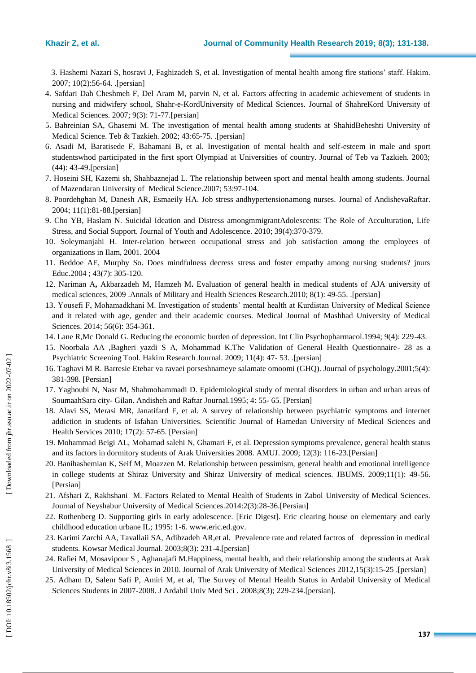3. Hashemi Nazari S, hosravi J, Faghizadeh S, et al. Investigation of mental health among fire stations' staff. Hakim. 2007; 10(2):56 -64. .[persian]

- 4. Safdari Dah Cheshmeh F, Del Aram M, parvin N, et al. Factors affecting in academic achievement of students in nursing and midwifery school, Shahr-e-KordUniversity of Medical Sciences. Journal of ShahreKord University of Medical Sciences. 2007; 9(3): 71 -77.[persian]
- 5. Bahreinian SA, Ghasemi M. The investigation of mental health among students at ShahidBeheshti University of Medical Science. Teb & Tazkieh. 2002; 43:65 -75. .[persian]
- 6 . Asadi M, Baratisede F, Bahamani B, et al. Investigation of mental health and self -esteem in male and sport studentswhod participated in the first sport Olympiad at Universities of country. Journal of Teb va Tazkieh. 2003; (44): 43 -49 .[persian]
- 7 . Hoseini SH, Kazemi sh, Shahbaznejad L. The relationship between sport and mental health among students. Journal of Mazendaran University of Medical Science.2007; 53:97 -104.
- 8 . Poordehghan M, Danesh AR, Esmaeily HA. Job stress andhypertensionamong nurses. Journal of AndishevaRaftar. 2004; 11(1):81 -88.[persian]
- 9 . Cho YB, Haslam N. Suicidal Ideation and Distress amongmmigrantAdolescents: The Role of Acculturation, Life Stress, and Social Support. Journal of Youth and Adolescence. 2010; 39(4):370-379.
- 10 . Soleymanjahi H. Inter -relation between occupational stress and job satisfaction among the employees of organizations in Ilam, 2001. 2004
- 1 1 . Beddoe AE, Murphy So. Does mindfulness decress stress and foster empathy among nursing students? jnurs Educ.2004 ; 43(7): 305 -120.
- 1 2 . Nariman A**,** [Akbarzadeh](http://journals.ajaums.ac.ir/search.php?sid=1&slc_lang=en&auth=Akbarzadeh) M, [Hamzeh](http://journals.ajaums.ac.ir/search.php?sid=1&slc_lang=en&auth=Hamzeh) M **.** [Evaluation of general health in medical students of AJA university of](http://journals.ajaums.ac.ir/browse.php?a_id=561&sid=1&slc_lang=en&ftxt=1)  [medical sciences, 2009](http://journals.ajaums.ac.ir/browse.php?a_id=561&sid=1&slc_lang=en&ftxt=1) .Annals of Military and Health Sciences Research. 2010; 8(1): 49-55. [persian]
- 1 3. Yousefi F, Mohamadkhani M. Investigation of students' mental health at Kurdistan University of Medical Science and it related with age, gender and their academic courses. Medical Journal of Mashhad University of Medical Sciences. 2014; 56(6): 354-361.
- 1 4 . Lane R,Mc Donald G. Reducing the economic burden of depression. Int Clin Psychopharmacol.1994; 9(4): 229 -43 .
- 1 5. [Noorbala AA ,Bagheri yazdi S A, Mohammad K.The Validation of General Health Questionnaire](http://hakim.hbi.ir/article-1-464-en.pdf) 28 as a [Psychiatric Screening Tool. Hakim Research Journal. 2009; 11\(4\): 47](http://hakim.hbi.ir/article-1-464-en.pdf) - 53. .[persian]
- 1 6. Taghavi M R. Barresie Etebar va ravaei porseshnameye salamate omoomi (GHQ). Journal of psychology.2001;5(4): 381 -398. [Persian]
- 1 7 . Yaghoubi N, Nasr M, Shahmohammadi D. Epidemiological study of mental disorders in urban and urban areas of SoumaahSara city - Gilan. Andisheh and Raftar Journal.1995; 4: 55 - 65. [Persian]
- 1 8. Alavi SS, Merasi MR, Janatifard F, et al. A survey of relationship between psychiatric symptoms and internet addiction in students of Isfahan Universities. Scientific Journal of Hamedan University of Medical Sciences and Health Services 2010; 17(2): 57 -65. [Persian]
- 19. Mohammad Beigi AL, Mohamad salehi N, Ghamari F, et al. Depression symptoms prevalence, general health status and its factors in dormitory students of Arak Universities 2008. AMUJ. 2009; 12(3): 116 -23.[Persian]
- 2 0. Banihashemian K, Seif M, Moazzen M. Relationship between pessimism, general health and emotional intelligence in college students at Shiraz University and Shiraz University of medical sciences. JBUMS. 2009;11(1): 49 -56. [Persian]
- 2 1 . Afshari Z, Rakhshani M. Factors Related to Mental Health of Students in Zabol University of Medical Sciences. Journal of Neyshabur University of Medical Sciences.2014:2(3):28 -36.[Persian]
- 2 2. Rothenberg D. Supporting girls in early adolescence. [Eric Digest]. Eric clearing house on elementary and early childhood education urbane IL; 1995: 1 -6. [www.eric.ed.gov](http://www.eric.ed.gov/) .
- 2 3. Karimi Zarchi AA, Tavallaii SA, Adibzadeh AR,et al. Prevalence rate and related factros of depression in medical students. Kowsar Medical Journal. 2003;8(3): 231 -4.[persian]
- 2 4. Rafiei M, Mosavipour S , Aghanajafi M.Happiness, mental health, and their relationship among the students at Arak University of Medical Sciences in 2010. Journal of Arak University of Medical Sciences 2012,15(3):15 -25 .[persian]
- 2 5. Adham D, Salem Safi P, Amiri M, et al, [The Survey of Mental Health Status in Ardabil University of Medical](http://jarums.arums.ac.ir/article-1-307-en.pdf)  [Sciences Students in 2007](http://jarums.arums.ac.ir/article-1-307-en.pdf)-2008. [J Ardabil Univ Med Sci](http://jarums.arums.ac.ir/browse.php?mag_id=24&slc_lang=en&sid=1). 2008;8(3); 229[-234.](http://jarums.arums.ac.ir/browse.php?mag_id=24&slc_lang=en&sid=1) [persian].